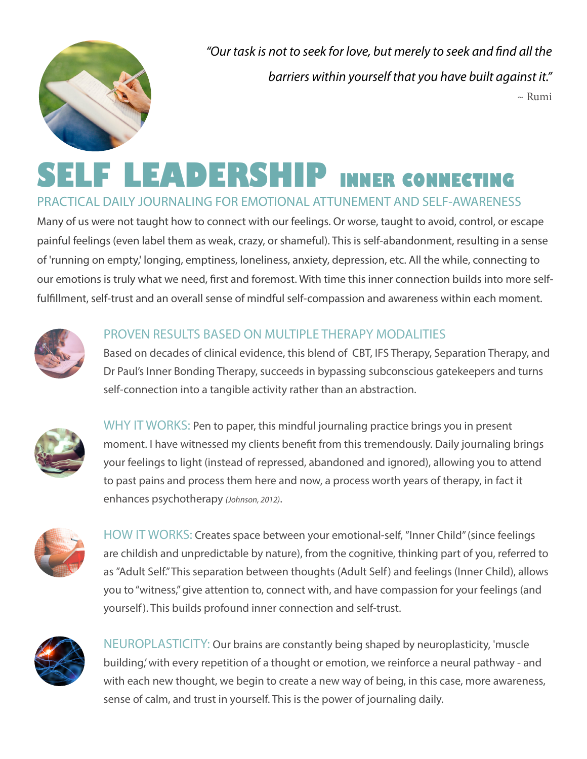

*"Our task is not to seek for love, but merely to seek and find all the barriers within yourself that you have built against it."*  $\sim$  Rumi

# **SELF LEADERSHIP INNER CONNECTING**

## PRACTICAL DAILY JOURNALING FOR EMOTIONAL ATTUNEMENT AND SELF-AWARENESS

Many of us were not taught how to connect with our feelings. Or worse, taught to avoid, control, or escape painful feelings (even label them as weak, crazy, or shameful). This is self-abandonment, resulting in a sense of 'running on empty,' longing, emptiness, loneliness, anxiety, depression, etc. All the while, connecting to our emotions is truly what we need, first and foremost. With time this inner connection builds into more selffulfillment, self-trust and an overall sense of mindful self-compassion and awareness within each moment.



#### PROVEN RESULTS BASED ON MULTIPLE THERAPY MODALITIES

Based on decades of clinical evidence, this blend of CBT, IFS Therapy, Separation Therapy, and Dr Paul's Inner Bonding Therapy, succeeds in bypassing subconscious gatekeepers and turns self-connection into a tangible activity rather than an abstraction.



WHY IT WORKS: Pen to paper, this mindful journaling practice brings you in present moment. I have witnessed my clients benefit from this tremendously. Daily journaling brings your feelings to light (instead of repressed, abandoned and ignored), allowing you to attend to past pains and process them here and now, a process worth years of therapy, in fact it enhances psychotherapy *(Johnson, 2012)*.



HOW IT WORKS: Creates space between your emotional-self, "Inner Child" (since feelings are childish and unpredictable by nature), from the cognitive, thinking part of you, referred to as "Adult Self." This separation between thoughts (Adult Self) and feelings (Inner Child), allows you to "witness," give attention to, connect with, and have compassion for your feelings (and yourself). This builds profound inner connection and self-trust.



NEUROPLASTICITY: Our brains are constantly being shaped by neuroplasticity, 'muscle building,' with every repetition of a thought or emotion, we reinforce a neural pathway - and with each new thought, we begin to create a new way of being, in this case, more awareness, sense of calm, and trust in yourself. This is the power of journaling daily.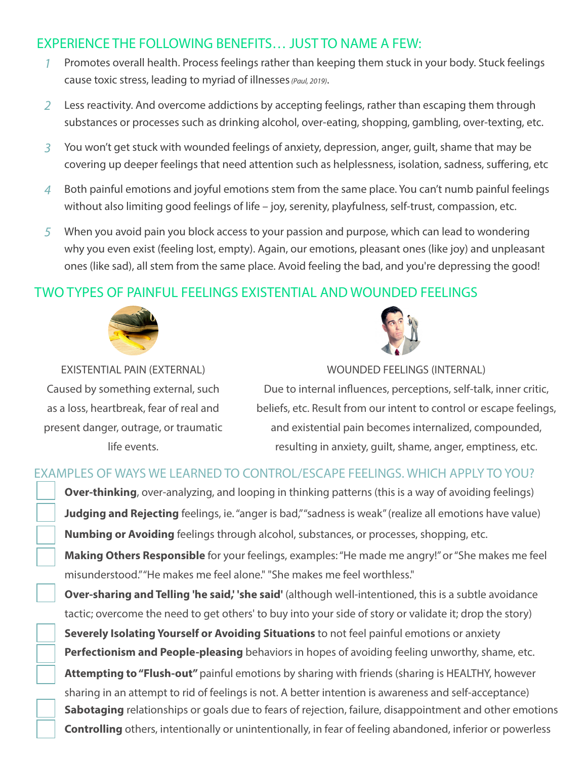## EXPERIENCE THE FOLLOWING BENEFITS… JUST TO NAME A FEW:

- *1* Promotes overall health. Process feelings rather than keeping them stuck in your body. Stuck feelings cause toxic stress, leading to myriad of illnesses *(Paul, 2019)*.
- *2* Less reactivity. And overcome addictions by accepting feelings, rather than escaping them through substances or processes such as drinking alcohol, over-eating, shopping, gambling, over-texting, etc.
- *3* You won't get stuck with wounded feelings of anxiety, depression, anger, guilt, shame that may be covering up deeper feelings that need attention such as helplessness, isolation, sadness, suffering, etc
- *4* Both painful emotions and joyful emotions stem from the same place. You can't numb painful feelings without also limiting good feelings of life – joy, serenity, playfulness, self-trust, compassion, etc.
- *5* When you avoid pain you block access to your passion and purpose, which can lead to wondering why you even exist (feeling lost, empty). Again, our emotions, pleasant ones (like joy) and unpleasant ones (like sad), all stem from the same place. Avoid feeling the bad, and you're depressing the good!

## TWO TYPES OF PAINFUL FEELINGS EXISTENTIAL AND WOUNDED FEELINGS



Caused by something external, such as a loss, heartbreak, fear of real and present danger, outrage, or traumatic life events.

EXISTENTIAL PAIN (EXTERNAL)

WOUNDED FEELINGS (INTERNAL)

Due to internal influences, perceptions, self-talk, inner critic, beliefs, etc. Result from our intent to control or escape feelings, and existential pain becomes internalized, compounded, resulting in anxiety, guilt, shame, anger, emptiness, etc.

## EXAMPLES OF WAYS WE LEARNED TO CONTROL/ESCAPE FEELINGS. WHICH APPLY TO YOU?

**Over-thinking**, over-analyzing, and looping in thinking patterns (this is a way of avoiding feelings) Judging and Rejecting feelings, ie. "anger is bad," "sadness is weak" (realize all emotions have value) **Numbing or Avoiding** feelings through alcohol, substances, or processes, shopping, etc. **Making Others Responsible** for your feelings, examples: "He made me angry!" or "She makes me feel misunderstood." "He makes me feel alone." "She makes me feel worthless."

**Over-sharing and Telling 'he said,' 'she said'** (although well-intentioned, this is a subtle avoidance tactic; overcome the need to get others' to buy into your side of story or validate it; drop the story) **Severely Isolating Yourself or Avoiding Situations** to not feel painful emotions or anxiety **Perfectionism and People-pleasing** behaviors in hopes of avoiding feeling unworthy, shame, etc. **Attempting to "Flush-out"** painful emotions by sharing with friends (sharing is HEALTHY, however sharing in an attempt to rid of feelings is not. A better intention is awareness and self-acceptance) **Sabotaging** relationships or goals due to fears of rejection, failure, disappointment and other emotions **Controlling** others, intentionally or unintentionally, in fear of feeling abandoned, inferior or powerless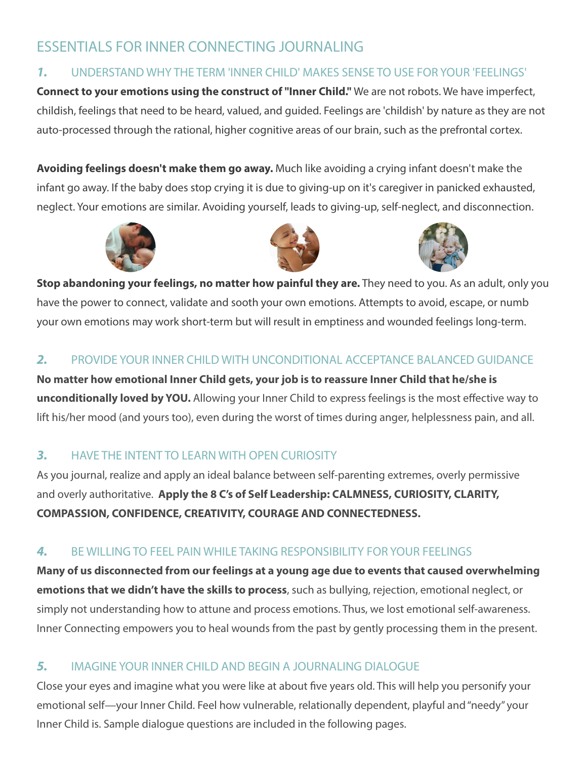# ESSENTIALS FOR INNER CONNECTING JOURNALING

#### *1.* UNDERSTAND WHY THE TERM 'INNER CHILD' MAKES SENSE TO USE FOR YOUR 'FEELINGS'

**Connect to your emotions using the construct of "Inner Child."** We are not robots. We have imperfect, childish, feelings that need to be heard, valued, and guided. Feelings are 'childish' by nature as they are not auto-processed through the rational, higher cognitive areas of our brain, such as the prefrontal cortex.

**Avoiding feelings doesn't make them go away.** Much like avoiding a crying infant doesn't make the infant go away. If the baby does stop crying it is due to giving-up on it's caregiver in panicked exhausted, neglect. Your emotions are similar. Avoiding yourself, leads to giving-up, self-neglect, and disconnection.







**Stop abandoning your feelings, no matter how painful they are.** They need to you. As an adult, only you have the power to connect, validate and sooth your own emotions. Attempts to avoid, escape, or numb your own emotions may work short-term but will result in emptiness and wounded feelings long-term.

#### *2.* PROVIDE YOUR INNER CHILD WITH UNCONDITIONAL ACCEPTANCE BALANCED GUIDANCE

**No matter how emotional Inner Child gets, your job is to reassure Inner Child that he/she is unconditionally loved by YOU.** Allowing your Inner Child to express feelings is the most effective way to lift his/her mood (and yours too), even during the worst of times during anger, helplessness pain, and all.

## *3.* HAVE THE INTENT TO LEARN WITH OPEN CURIOSITY

As you journal, realize and apply an ideal balance between self-parenting extremes, overly permissive and overly authoritative. **Apply the 8 C's of Self Leadership: CALMNESS, CURIOSITY, CLARITY, COMPASSION, CONFIDENCE, CREATIVITY, COURAGE AND CONNECTEDNESS.** 

## *4.* BE WILLING TO FEEL PAIN WHILE TAKING RESPONSIBILITY FOR YOUR FEELINGS

**Many of us disconnected from our feelings at a young age due to events that caused overwhelming emotions that we didn't have the skills to process**, such as bullying, rejection, emotional neglect, or simply not understanding how to attune and process emotions. Thus, we lost emotional self-awareness. Inner Connecting empowers you to heal wounds from the past by gently processing them in the present.

## *5.* IMAGINE YOUR INNER CHILD AND BEGIN A JOURNALING DIALOGUE

Close your eyes and imagine what you were like at about five years old. This will help you personify your emotional self—your Inner Child. Feel how vulnerable, relationally dependent, playful and "needy" your Inner Child is. Sample dialogue questions are included in the following pages.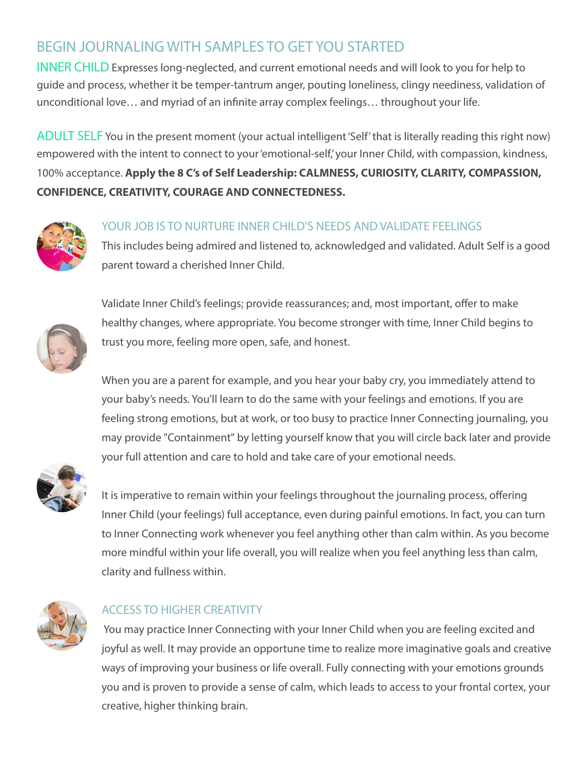# BEGIN JOURNALING WITH SAMPLES TO GET YOU STARTED

INNER CHILD Expresses long-neglected, and current emotional needs and will look to you for help to guide and process, whether it be temper-tantrum anger, pouting loneliness, clingy neediness, validation of unconditional love… and myriad of an infinite array complex feelings… throughout your life.

ADULT SELF You in the present moment (your actual intelligent 'Self' that is literally reading this right now) empowered with the intent to connect to your 'emotional-self,' your Inner Child, with compassion, kindness, 100% acceptance. **Apply the 8 C's of Self Leadership: CALMNESS, CURIOSITY, CLARITY, COMPASSION, CONFIDENCE, CREATIVITY, COURAGE AND CONNECTEDNESS.** 



#### YOUR JOB IS TO NURTURE INNER CHILD'S NEEDS AND VALIDATE FEELINGS

This includes being admired and listened to, acknowledged and validated. Adult Self is a good parent toward a cherished Inner Child.



Validate Inner Child's feelings; provide reassurances; and, most important, offer to make healthy changes, where appropriate. You become stronger with time, Inner Child begins to trust you more, feeling more open, safe, and honest.

When you are a parent for example, and you hear your baby cry, you immediately attend to your baby's needs. You'll learn to do the same with your feelings and emotions. If you are feeling strong emotions, but at work, or too busy to practice Inner Connecting journaling, you may provide "Containment" by letting yourself know that you will circle back later and provide your full attention and care to hold and take care of your emotional needs.



It is imperative to remain within your feelings throughout the journaling process, offering Inner Child (your feelings) full acceptance, even during painful emotions. In fact, you can turn to Inner Connecting work whenever you feel anything other than calm within. As you become more mindful within your life overall, you will realize when you feel anything less than calm, clarity and fullness within.



#### ACCESS TO HIGHER CREATIVITY

 You may practice Inner Connecting with your Inner Child when you are feeling excited and joyful as well. It may provide an opportune time to realize more imaginative goals and creative ways of improving your business or life overall. Fully connecting with your emotions grounds you and is proven to provide a sense of calm, which leads to access to your frontal cortex, your creative, higher thinking brain.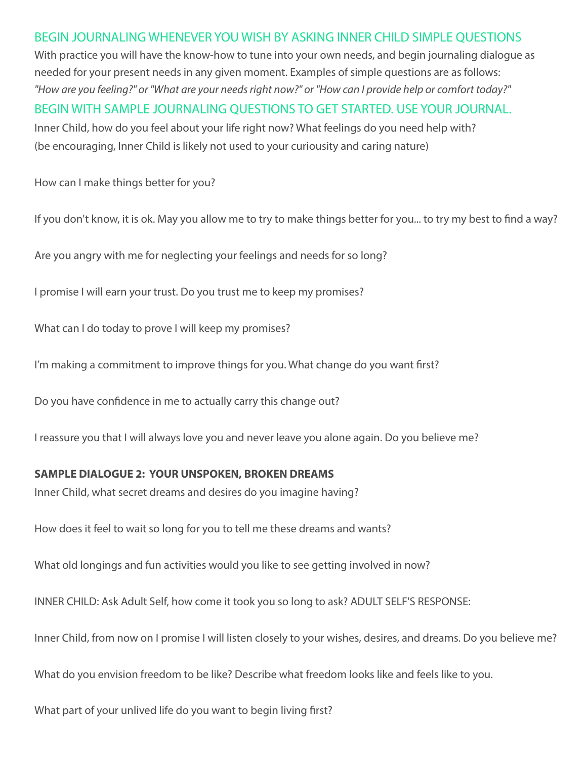BEGIN JOURNALING WHENEVER YOU WISH BY ASKING INNER CHILD SIMPLE QUESTIONS With practice you will have the know-how to tune into your own needs, and begin journaling dialogue as needed for your present needs in any given moment. Examples of simple questions are as follows: *"How are you feeling?" or "What are your needs right now?" or "How can I provide help or comfort today?"* BEGIN WITH SAMPLE JOURNALING QUESTIONS TO GET STARTED. USE YOUR JOURNAL. Inner Child, how do you feel about your life right now? What feelings do you need help with? (be encouraging, Inner Child is likely not used to your curiousity and caring nature)

How can I make things better for you?

If you don't know, it is ok. May you allow me to try to make things better for you... to try my best to find a way?

Are you angry with me for neglecting your feelings and needs for so long?

I promise I will earn your trust. Do you trust me to keep my promises?

What can I do today to prove I will keep my promises?

I'm making a commitment to improve things for you. What change do you want first?

Do you have confidence in me to actually carry this change out?

I reassure you that I will always love you and never leave you alone again. Do you believe me?

#### **SAMPLE DIALOGUE 2: YOUR UNSPOKEN, BROKEN DREAMS**

Inner Child, what secret dreams and desires do you imagine having?

How does it feel to wait so long for you to tell me these dreams and wants?

What old longings and fun activities would you like to see getting involved in now?

INNER CHILD: Ask Adult Self, how come it took you so long to ask? ADULT SELF'S RESPONSE:

Inner Child, from now on I promise I will listen closely to your wishes, desires, and dreams. Do you believe me?

What do you envision freedom to be like? Describe what freedom looks like and feels like to you.

What part of your unlived life do you want to begin living first?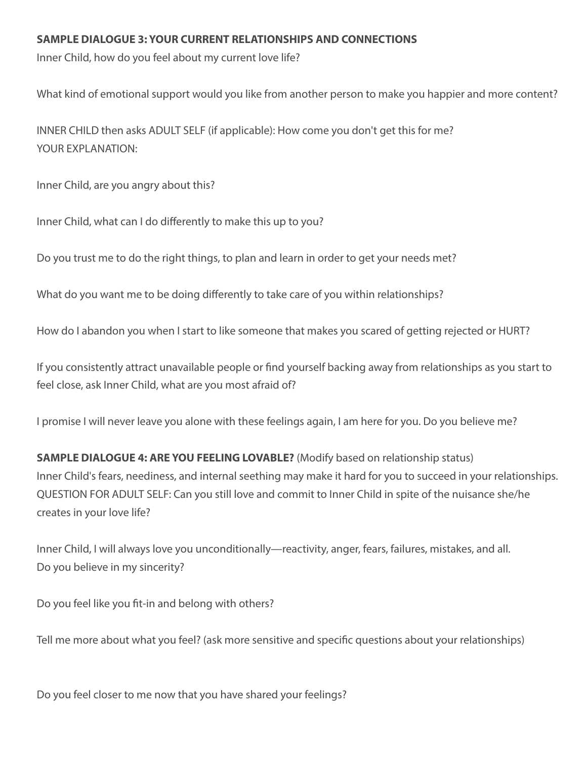#### **SAMPLE DIALOGUE 3: YOUR CURRENT RELATIONSHIPS AND CONNECTIONS**

Inner Child, how do you feel about my current love life?

What kind of emotional support would you like from another person to make you happier and more content?

INNER CHILD then asks ADULT SELF (if applicable): How come you don't get this for me? YOUR EXPLANATION:

Inner Child, are you angry about this?

Inner Child, what can I do differently to make this up to you?

Do you trust me to do the right things, to plan and learn in order to get your needs met?

What do you want me to be doing differently to take care of you within relationships?

How do I abandon you when I start to like someone that makes you scared of getting rejected or HURT?

If you consistently attract unavailable people or find yourself backing away from relationships as you start to feel close, ask Inner Child, what are you most afraid of?

I promise I will never leave you alone with these feelings again, I am here for you. Do you believe me?

**SAMPLE DIALOGUE 4: ARE YOU FEELING LOVABLE?** (Modify based on relationship status) Inner Child's fears, neediness, and internal seething may make it hard for you to succeed in your relationships. QUESTION FOR ADULT SELF: Can you still love and commit to Inner Child in spite of the nuisance she/he creates in your love life?

Inner Child, I will always love you unconditionally—reactivity, anger, fears, failures, mistakes, and all. Do you believe in my sincerity?

Do you feel like you fit-in and belong with others?

Tell me more about what you feel? (ask more sensitive and specific questions about your relationships)

Do you feel closer to me now that you have shared your feelings?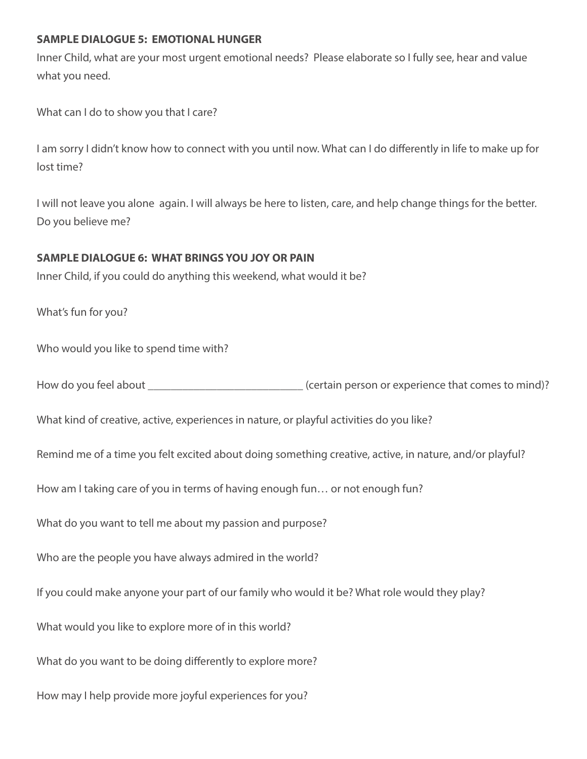#### **SAMPLE DIALOGUE 5: EMOTIONAL HUNGER**

Inner Child, what are your most urgent emotional needs? Please elaborate so I fully see, hear and value what you need.

What can I do to show you that I care?

I am sorry I didn't know how to connect with you until now. What can I do differently in life to make up for lost time?

I will not leave you alone again. I will always be here to listen, care, and help change things for the better. Do you believe me?

#### **SAMPLE DIALOGUE 6: WHAT BRINGS YOU JOY OR PAIN**

Inner Child, if you could do anything this weekend, what would it be?

What's fun for you?

Who would you like to spend time with?

How do you feel about **Example 20** about  $\frac{1}{2}$  (certain person or experience that comes to mind)?

What kind of creative, active, experiences in nature, or playful activities do you like?

Remind me of a time you felt excited about doing something creative, active, in nature, and/or playful?

How am I taking care of you in terms of having enough fun… or not enough fun?

What do you want to tell me about my passion and purpose?

Who are the people you have always admired in the world?

If you could make anyone your part of our family who would it be? What role would they play?

What would you like to explore more of in this world?

What do you want to be doing differently to explore more?

How may I help provide more joyful experiences for you?